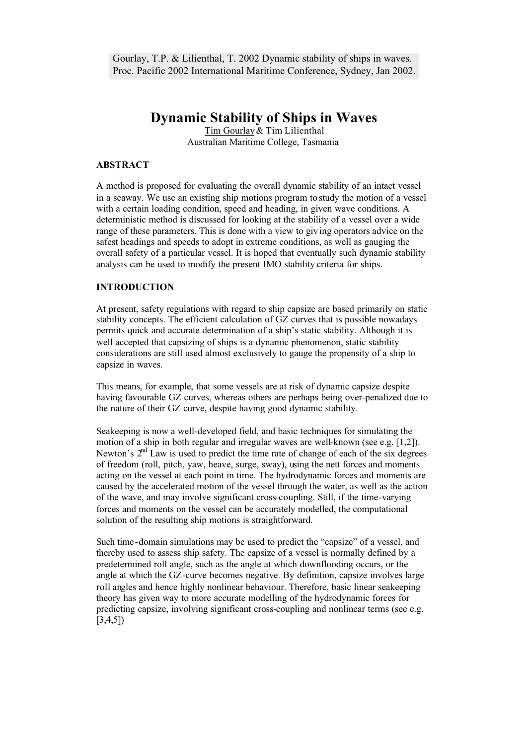Gourlay, T.P. & Lilienthal, T. 2002 Dynamic stability of ships in waves. Proc. Pacific 2002 International Maritime Conference, Sydney, Jan 2002.

# **Dynamic Stability of Ships in Waves**

Tim Gourlay & Tim Lilienthal Australian Maritime College, Tasmania

## **ABSTRACT**

A method is proposed for evaluating the overall dynamic stability of an intact vessel in a seaway. We use an existing ship motions program to study the motion of a vessel with a certain loading condition, speed and heading, in given wave conditions. A deterministic method is discussed for looking at the stability of a vessel over a wide range of these parameters. This is done with a view to giv ing operators advice on the safest headings and speeds to adopt in extreme conditions, as well as gauging the overall safety of a particular vessel. It is hoped that eventually such dynamic stability analysis can be used to modify the present IMO stability criteria for ships.

# **INTRODUCTION**

At present, safety regulations with regard to ship capsize are based primarily on static stability concepts. The efficient calculation of GZ curves that is possible nowadays permits quick and accurate determination of a ship's static stability. Although it is well accepted that capsizing of ships is a dynamic phenomenon, static stability considerations are still used almost exclusively to gauge the propensity of a ship to capsize in waves.

This means, for example, that some vessels are at risk of dynamic capsize despite having favourable GZ curves, whereas others are perhaps being over-penalized due to the nature of their GZ curve, despite having good dynamic stability.

Seakeeping is now a well-developed field, and basic techniques for simulating the motion of a ship in both regular and irregular waves are well-known (see e.g. [1,2]). Newton's  $2<sup>nd</sup>$  Law is used to predict the time rate of change of each of the six degrees of freedom (roll, pitch, yaw, heave, surge, sway), using the nett forces and moments acting on the vessel at each point in time. The hydrodynamic forces and moments are caused by the accelerated motion of the vessel through the water, as well as the action of the wave, and may involve significant cross-coupling. Still, if the time-varying forces and moments on the vessel can be accurately modelled, the computational solution of the resulting ship motions is straightforward.

Such time-domain simulations may be used to predict the "capsize" of a vessel, and thereby used to assess ship safety. The capsize of a vessel is normally defined by a predetermined roll angle, such as the angle at which downflooding occurs, or the angle at which the GZ-curve becomes negative. By definition, capsize involves large roll angles and hence highly nonlinear behaviour. Therefore, basic linear seakeeping theory has given way to more accurate modelling of the hydrodynamic forces for predicting capsize, involving significant cross-coupling and nonlinear terms (see e.g. [3,4,5])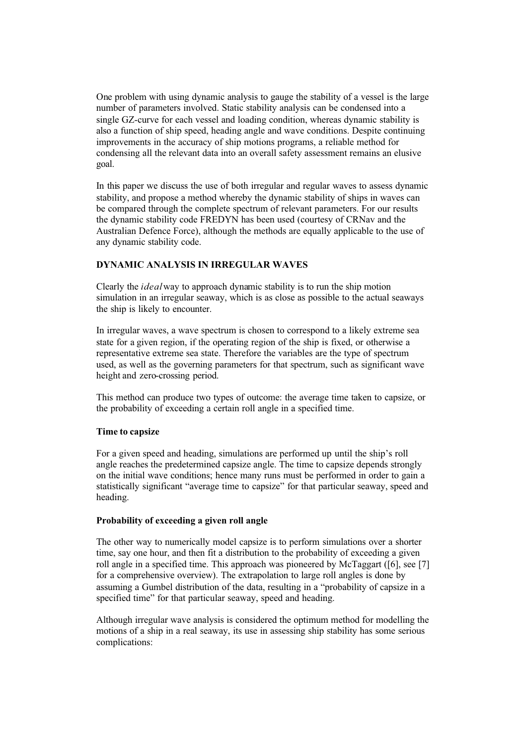One problem with using dynamic analysis to gauge the stability of a vessel is the large number of parameters involved. Static stability analysis can be condensed into a single GZ-curve for each vessel and loading condition, whereas dynamic stability is also a function of ship speed, heading angle and wave conditions. Despite continuing improvements in the accuracy of ship motions programs, a reliable method for condensing all the relevant data into an overall safety assessment remains an elusive goal.

In this paper we discuss the use of both irregular and regular waves to assess dynamic stability, and propose a method whereby the dynamic stability of ships in waves can be compared through the complete spectrum of relevant parameters. For our results the dynamic stability code FREDYN has been used (courtesy of CRNav and the Australian Defence Force), although the methods are equally applicable to the use of any dynamic stability code.

## **DYNAMIC ANALYSIS IN IRREGULAR WAVES**

Clearly the *ideal* way to approach dynamic stability is to run the ship motion simulation in an irregular seaway, which is as close as possible to the actual seaways the ship is likely to encounter.

In irregular waves, a wave spectrum is chosen to correspond to a likely extreme sea state for a given region, if the operating region of the ship is fixed, or otherwise a representative extreme sea state. Therefore the variables are the type of spectrum used, as well as the governing parameters for that spectrum, such as significant wave height and zero-crossing period.

This method can produce two types of outcome: the average time taken to capsize, or the probability of exceeding a certain roll angle in a specified time.

#### **Time to capsize**

For a given speed and heading, simulations are performed up until the ship's roll angle reaches the predetermined capsize angle. The time to capsize depends strongly on the initial wave conditions; hence many runs must be performed in order to gain a statistically significant "average time to capsize" for that particular seaway, speed and heading.

#### **Probability of exceeding a given roll angle**

The other way to numerically model capsize is to perform simulations over a shorter time, say one hour, and then fit a distribution to the probability of exceeding a given roll angle in a specified time. This approach was pioneered by McTaggart ([6], see [7] for a comprehensive overview). The extrapolation to large roll angles is done by assuming a Gumbel distribution of the data, resulting in a "probability of capsize in a specified time" for that particular seaway, speed and heading.

Although irregular wave analysis is considered the optimum method for modelling the motions of a ship in a real seaway, its use in assessing ship stability has some serious complications: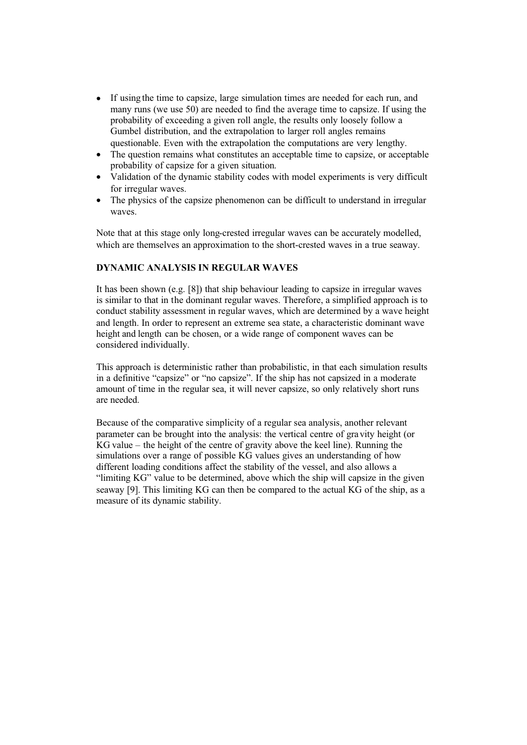- If using the time to capsize, large simulation times are needed for each run, and many runs (we use 50) are needed to find the average time to capsize. If using the probability of exceeding a given roll angle, the results only loosely follow a Gumbel distribution, and the extrapolation to larger roll angles remains questionable. Even with the extrapolation the computations are very lengthy.
- The question remains what constitutes an acceptable time to capsize, or acceptable probability of capsize for a given situation.
- Validation of the dynamic stability codes with model experiments is very difficult for irregular waves.
- The physics of the capsize phenomenon can be difficult to understand in irregular waves.

Note that at this stage only long-crested irregular waves can be accurately modelled, which are themselves an approximation to the short-crested waves in a true seaway.

#### **DYNAMIC ANALYSIS IN REGULAR WAVES**

It has been shown (e.g. [8]) that ship behaviour leading to capsize in irregular waves is similar to that in the dominant regular waves. Therefore, a simplified approach is to conduct stability assessment in regular waves, which are determined by a wave height and length. In order to represent an extreme sea state, a characteristic dominant wave height and length can be chosen, or a wide range of component waves can be considered individually.

This approach is deterministic rather than probabilistic, in that each simulation results in a definitive "capsize" or "no capsize". If the ship has not capsized in a moderate amount of time in the regular sea, it will never capsize, so only relatively short runs are needed.

Because of the comparative simplicity of a regular sea analysis, another relevant parameter can be brought into the analysis: the vertical centre of gravity height (or KG value – the height of the centre of gravity above the keel line). Running the simulations over a range of possible KG values gives an understanding of how different loading conditions affect the stability of the vessel, and also allows a "limiting KG" value to be determined, above which the ship will capsize in the given seaway [9]. This limiting KG can then be compared to the actual KG of the ship, as a measure of its dynamic stability.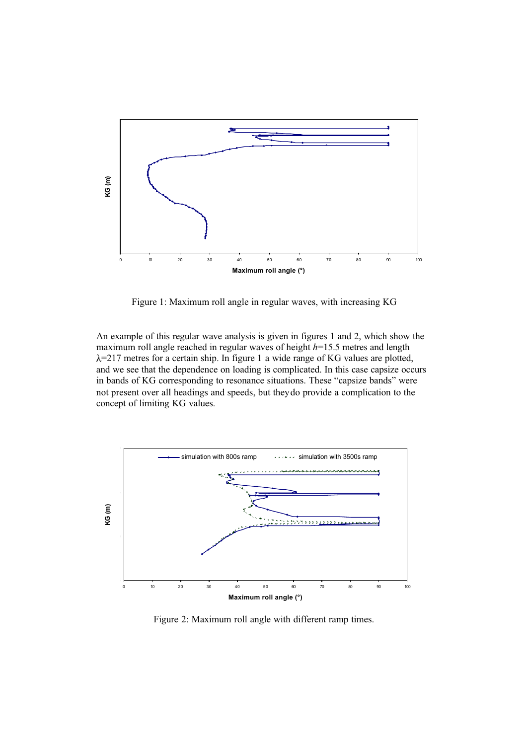

Figure 1: Maximum roll angle in regular waves, with increasing KG

An example of this regular wave analysis is given in figures 1 and 2, which show the maximum roll angle reached in regular waves of height *h*=15.5 metres and length  $\lambda$ =217 metres for a certain ship. In figure 1 a wide range of KG values are plotted, and we see that the dependence on loading is complicated. In this case capsize occurs in bands of KG corresponding to resonance situations. These "capsize bands" were not present over all headings and speeds, but they do provide a complication to the concept of limiting KG values.



Figure 2: Maximum roll angle with different ramp times.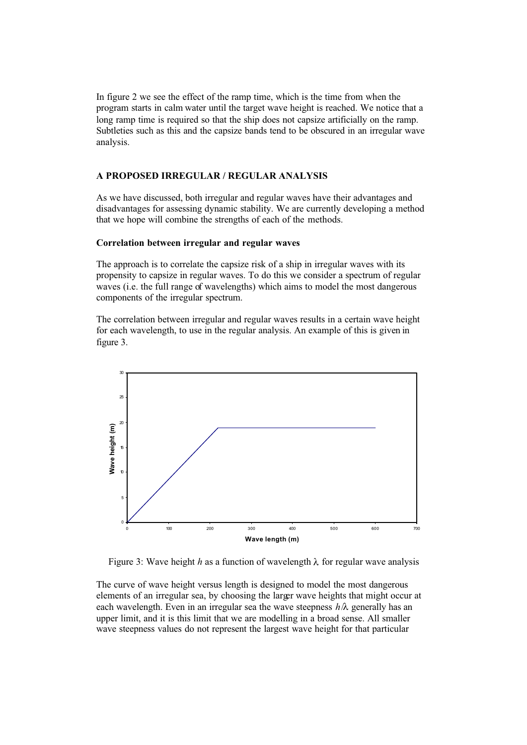In figure 2 we see the effect of the ramp time, which is the time from when the program starts in calm water until the target wave height is reached. We notice that a long ramp time is required so that the ship does not capsize artificially on the ramp. Subtleties such as this and the capsize bands tend to be obscured in an irregular wave analysis.

#### **A PROPOSED IRREGULAR / REGULAR ANALYSIS**

As we have discussed, both irregular and regular waves have their advantages and disadvantages for assessing dynamic stability. We are currently developing a method that we hope will combine the strengths of each of the methods.

#### **Correlation between irregular and regular waves**

The approach is to correlate the capsize risk of a ship in irregular waves with its propensity to capsize in regular waves. To do this we consider a spectrum of regular waves (i.e. the full range of wavelengths) which aims to model the most dangerous components of the irregular spectrum.

The correlation between irregular and regular waves results in a certain wave height for each wavelength, to use in the regular analysis. An example of this is given in figure 3.



Figure 3: Wave height *h* as a function of wavelength  $\lambda$  for regular wave analysis

The curve of wave height versus length is designed to model the most dangerous elements of an irregular sea, by choosing the larger wave heights that might occur at each wavelength. Even in an irregular sea the wave steepness *h*/λ generally has an upper limit, and it is this limit that we are modelling in a broad sense. All smaller wave steepness values do not represent the largest wave height for that particular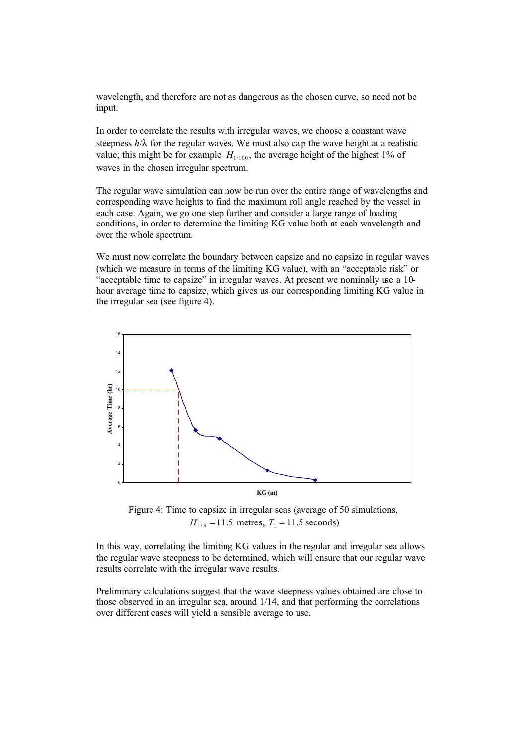wavelength, and therefore are not as dangerous as the chosen curve, so need not be input.

In order to correlate the results with irregular waves, we choose a constant wave steepness  $h/\lambda$  for the regular waves. We must also cap the wave height at a realistic value; this might be for example  $H_{1/100}$ , the average height of the highest 1% of waves in the chosen irregular spectrum.

The regular wave simulation can now be run over the entire range of wavelengths and corresponding wave heights to find the maximum roll angle reached by the vessel in each case. Again, we go one step further and consider a large range of loading conditions, in order to determine the limiting KG value both at each wavelength and over the whole spectrum.

We must now correlate the boundary between capsize and no capsize in regular waves (which we measure in terms of the limiting KG value), with an "acceptable risk" or "acceptable time to capsize" in irregular waves. At present we nominally use a 10 hour average time to capsize, which gives us our corresponding limiting KG value in the irregular sea (see figure 4).



Figure 4: Time to capsize in irregular seas (average of 50 simulations,  $H_{1/3} = 11.5$  metres,  $T_1 = 11.5$  seconds)

In this way, correlating the limiting KG values in the regular and irregular sea allows the regular wave steepness to be determined, which will ensure that our regular wave results correlate with the irregular wave results.

Preliminary calculations suggest that the wave steepness values obtained are close to those observed in an irregular sea, around 1/14, and that performing the correlations over different cases will yield a sensible average to use.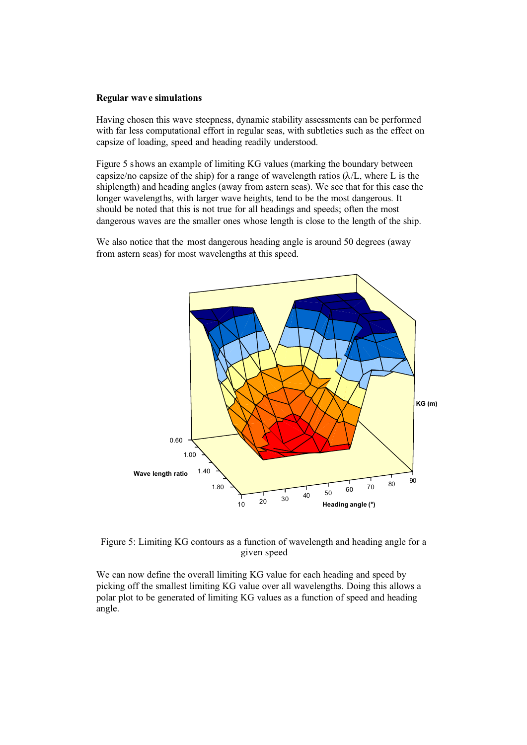#### **Regular wave simulations**

Having chosen this wave steepness, dynamic stability assessments can be performed with far less computational effort in regular seas, with subtleties such as the effect on capsize of loading, speed and heading readily understood.

Figure 5 shows an example of limiting KG values (marking the boundary between capsize/no capsize of the ship) for a range of wavelength ratios  $(\lambda/L)$ , where L is the shiplength) and heading angles (away from astern seas). We see that for this case the longer wavelengths, with larger wave heights, tend to be the most dangerous. It should be noted that this is not true for all headings and speeds; often the most dangerous waves are the smaller ones whose length is close to the length of the ship.

We also notice that the most dangerous heading angle is around 50 degrees (away from astern seas) for most wavelengths at this speed.



Figure 5: Limiting KG contours as a function of wavelength and heading angle for a given speed

We can now define the overall limiting KG value for each heading and speed by picking off the smallest limiting KG value over all wavelengths. Doing this allows a polar plot to be generated of limiting KG values as a function of speed and heading angle.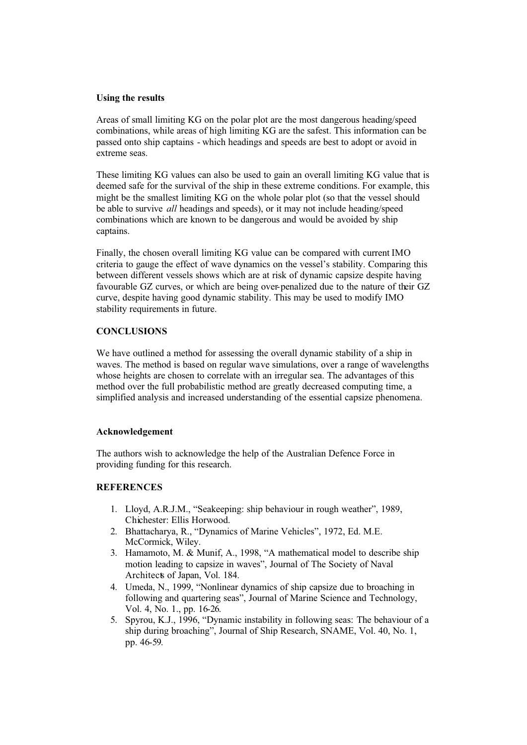#### **Using the results**

Areas of small limiting KG on the polar plot are the most dangerous heading/speed combinations, while areas of high limiting KG are the safest. This information can be passed onto ship captains - which headings and speeds are best to adopt or avoid in extreme seas.

These limiting KG values can also be used to gain an overall limiting KG value that is deemed safe for the survival of the ship in these extreme conditions. For example, this might be the smallest limiting KG on the whole polar plot (so that the vessel should be able to survive *all* headings and speeds), or it may not include heading/speed combinations which are known to be dangerous and would be avoided by ship captains.

Finally, the chosen overall limiting KG value can be compared with current IMO criteria to gauge the effect of wave dynamics on the vessel's stability. Comparing this between different vessels shows which are at risk of dynamic capsize despite having favourable GZ curves, or which are being over-penalized due to the nature of their GZ curve, despite having good dynamic stability. This may be used to modify IMO stability requirements in future.

## **CONCLUSIONS**

We have outlined a method for assessing the overall dynamic stability of a ship in waves. The method is based on regular wave simulations, over a range of wavelengths whose heights are chosen to correlate with an irregular sea. The advantages of this method over the full probabilistic method are greatly decreased computing time, a simplified analysis and increased understanding of the essential capsize phenomena.

## **Acknowledgement**

The authors wish to acknowledge the help of the Australian Defence Force in providing funding for this research.

## **REFERENCES**

- 1. Lloyd, A.R.J.M., "Seakeeping: ship behaviour in rough weather", 1989, Chichester: Ellis Horwood.
- 2. Bhattacharya, R., "Dynamics of Marine Vehicles", 1972, Ed. M.E. McCormick, Wiley.
- 3. Hamamoto, M. & Munif, A., 1998, "A mathematical model to describe ship motion leading to capsize in waves", Journal of The Society of Naval Architects of Japan, Vol. 184.
- 4. Umeda, N., 1999, "Nonlinear dynamics of ship capsize due to broaching in following and quartering seas", Journal of Marine Science and Technology, Vol. 4, No. 1., pp. 16-26.
- 5. Spyrou, K.J., 1996, "Dynamic instability in following seas: The behaviour of a ship during broaching", Journal of Ship Research, SNAME, Vol. 40, No. 1, pp. 46-59.